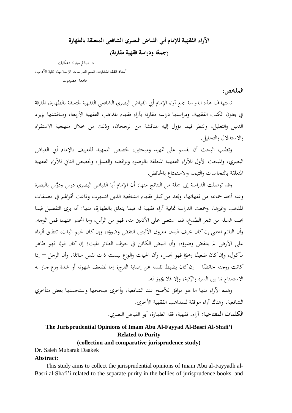# **اآلراء الفقهية لإلمام أبي الفياض البصري الشافعي المتعلقة بالطهارة ا ودراسة فقهية مقارنة( )جمع ً**

 د. صاحل مبارك دعكيك أستاذ الفقو املشارك، قسم الدراسات اإلسالمية، كلية اآلداب، جامعة حضرموت

## **الملخص:**

تستهدف هذه الدراسة جمع آراء الإمام أبي الفياض البصري الشافعي الفقهية المتعلقة بالطهارة، المفرقة يف بطون الكتب الفقهية، ودراستها دراسة مقارنة بآراء فقهاء املذاىب الفقهية األربعة، ومناقشتها بإيراد الدليل والتعليل، والنظر فيما تؤول إليو املناقشة من الرجحان، وذلك من خالل منهجية االستقراء واالستدالل والتحليل.

وتطلب البحث أن يقسم على تمهيد ومبحثين، خُصص التمهيد للتعريف بالإمام أبي الفياض البصري، والمبحث الأول للآراء الفقهية المتعلقة بالوضوء ونواقضه والغسل، وخُصص الثاني للآراء الفقهية املتعلقة بالنجاسات والتيمم واالستمتاع باحلائض.

وقد توصلت الدراسة إىل مجلة من النتائج منها: أن اإلمام أبا الفياض البصري درس ودَّرس بالبصرة وعنه أخذ جماعة من فقهائها، ويُعد من كبار فقهاء الشافعية الذين اشتهرت وذاعت أقوالهم في مصنفات المذهب وغيرها، وجمعت الدراسة ثمانية آراء فقهية له فيما يتعلق بالطهارة، منها: أنه يرى التفصيل فيما يجب غسله من شعر الصُدغ، فما استعلى على الأذنين منه، فهو من الرأس، وما انحدر عنهما فمن الوجه.<br>-وأن النائم المحتبي إن كان نحيف البدن معروق الأليتين انتقض وضوؤه، وإن كان لحيم البدن، تنطبق أليتاه على الأرض لم ينتقض وضوؤه، وأن البيض الكائن في جوف الطائر الميت؛ إن كان قويًا فهو طاهر يا<br>أ مأكول، وإن كان ضعيفًا رحوًا فهو نجس، وأن الحيات والوزغ ليست ذات نفس سائلة. وأن الرجل — إذا ً .<br>م كانت زوجته حائضًا – إن كان يضبط نفسه عن إصابة الفرج؛ إما لضعف شهوته أو شدة ورع جاز له االستمتاع مبا بني السرة والركبة، وإال فال جيوز لو.

وىذه اآلراء منها ما ىو موافق لؤلصح عند الشافعية، وأخرى صححها واستحسنها بعض متأخري الشافعية، وىناك آراء موافقة للمذاىب الفقهية األخرى. **الكلمات المفتاحية:** آراء، فقهية، فقو الطهارة، أبو الفياض البصري.

# **The Jurisprudential Opinions of Imam Abu Al-Fayyad Al-Basri Al-Shafi'i Related to Purity**

#### **(collection and comparative jurisprudence study)**

Dr. Saleh Mubarak Daakek

## **Abstract**:

This study aims to collect the jurisprudential opinions of Imam Abu al-Fayyadh al-Basri al-Shafi'i related to the separate purity in the bellies of jurisprudence books, and